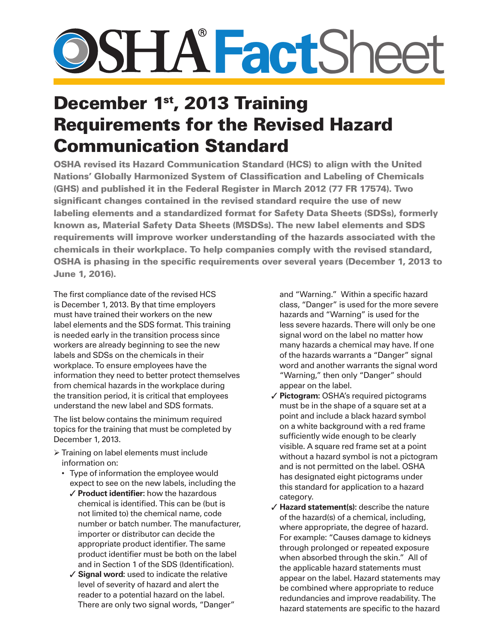## **PSHA FactSheet**

## December 1<sup>st</sup>, 2013 Training Requirements for the Revised Hazard Communication Standard

OSHA revised its Hazard Communication Standard (HCS) to align with the United Nations' Globally Harmonized System of Classification and Labeling of Chemicals (GHS) and published it in the Federal Register in March 2012 (77 FR 17574). Two significant changes contained in the revised standard require the use of new labeling elements and a standardized format for Safety Data Sheets (SDSs), formerly known as, Material Safety Data Sheets (MSDSs). The new label elements and SDS requirements will improve worker understanding of the hazards associated with the chemicals in their workplace. To help companies comply with the revised standard, OSHA is phasing in the specific requirements over several years (December 1, 2013 to June 1, 2016).

The first compliance date of the revised HCS is December 1, 2013. By that time employers must have trained their workers on the new label elements and the SDS format. This training is needed early in the transition process since workers are already beginning to see the new labels and SDSs on the chemicals in their workplace. To ensure employees have the information they need to better protect themselves from chemical hazards in the workplace during the transition period, it is critical that employees understand the new label and SDS formats.

The list below contains the minimum required topics for the training that must be completed by December 1, 2013.

- > Training on label elements must include information on:
	- Type of information the employee would expect to see on the new labels, including the ✓ **Product identifier:** how the hazardous
		- chemical is identified. This can be (but is not limited to) the chemical name, code number or batch number. The manufacturer, importer or distributor can decide the appropriate product identifier. The same product identifier must be both on the label and in Section 1 of the SDS (Identification).
		- ✓ **Signal word:** used to indicate the relative level of severity of hazard and alert the reader to a potential hazard on the label. There are only two signal words, "Danger"

and "Warning." Within a specific hazard class, "Danger" is used for the more severe hazards and "Warning" is used for the less severe hazards. There will only be one signal word on the label no matter how many hazards a chemical may have. If one of the hazards warrants a "Danger" signal word and another warrants the signal word "Warning," then only "Danger" should appear on the label.

- ✓ **Pictogram:** OSHA's required pictograms must be in the shape of a square set at a point and include a black hazard symbol on a white background with a red frame sufficiently wide enough to be clearly visible. A square red frame set at a point without a hazard symbol is not a pictogram and is not permitted on the label. OSHA has designated eight pictograms under this standard for application to a hazard category.
- ✓ **Hazard statement(s):** describe the nature of the hazard(s) of a chemical, including, where appropriate, the degree of hazard. For example: "Causes damage to kidneys through prolonged or repeated exposure when absorbed through the skin." All of the applicable hazard statements must appear on the label. Hazard statements may be combined where appropriate to reduce redundancies and improve readability. The hazard statements are specific to the hazard